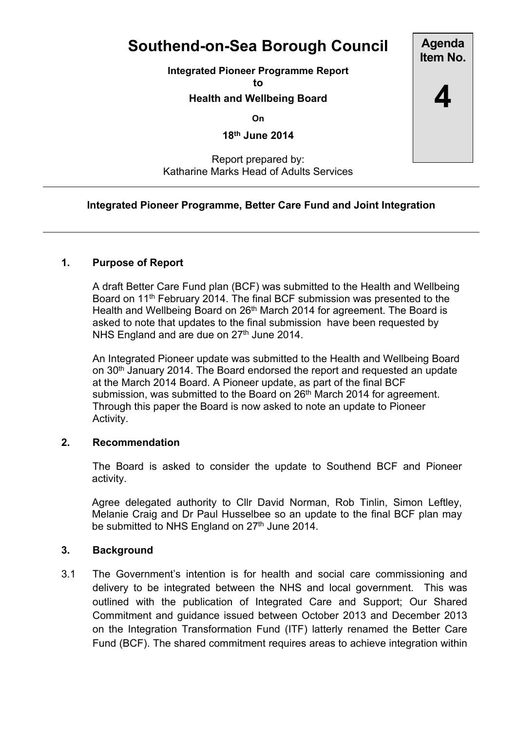# **Southend-on-Sea Borough Council**

**Integrated Pioneer Programme Report**

**to**

## **Health and Wellbeing Board**

**On**

**18th June 2014**

## Report prepared by: Katharine Marks Head of Adults Services

# **Integrated Pioneer Programme, Better Care Fund and Joint Integration**

# **1. Purpose of Report**

A draft Better Care Fund plan (BCF) was submitted to the Health and Wellbeing Board on 11<sup>th</sup> February 2014. The final BCF submission was presented to the Health and Wellbeing Board on 26<sup>th</sup> March 2014 for agreement. The Board is asked to note that updates to the final submission have been requested by NHS England and are due on 27<sup>th</sup> June 2014.

An Integrated Pioneer update was submitted to the Health and Wellbeing Board on 30th January 2014. The Board endorsed the report and requested an update at the March 2014 Board. A Pioneer update, as part of the final BCF submission, was submitted to the Board on 26<sup>th</sup> March 2014 for agreement. Through this paper the Board is now asked to note an update to Pioneer Activity.

#### **2. Recommendation**

The Board is asked to consider the update to Southend BCF and Pioneer activity.

Agree delegated authority to Cllr David Norman, Rob Tinlin, Simon Leftley, Melanie Craig and Dr Paul Husselbee so an update to the final BCF plan may be submitted to NHS England on 27<sup>th</sup> June 2014.

#### **3. Background**

3.1 The Government's intention is for health and social care commissioning and delivery to be integrated between the NHS and local government. This was outlined with the publication of Integrated Care and Support; Our Shared Commitment and guidance issued between October 2013 and December 2013 on the Integration Transformation Fund (ITF) latterly renamed the Better Care Fund (BCF). The shared commitment requires areas to achieve integration within

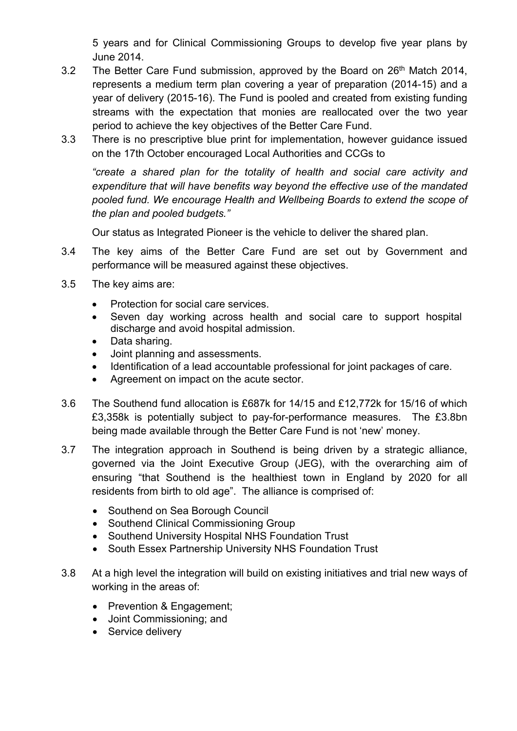5 years and for Clinical Commissioning Groups to develop five year plans by June 2014.

- 3.2 The Better Care Fund submission, approved by the Board on 26<sup>th</sup> Match 2014, represents a medium term plan covering a year of preparation (2014-15) and a year of delivery (2015-16). The Fund is pooled and created from existing funding streams with the expectation that monies are reallocated over the two year period to achieve the key objectives of the Better Care Fund.
- 3.3 There is no prescriptive blue print for implementation, however guidance issued on the 17th October encouraged Local Authorities and CCGs to

*"create a shared plan for the totality of health and social care activity and expenditure that will have benefits way beyond the effective use of the mandated pooled fund. We encourage Health and Wellbeing Boards to extend the scope of the plan and pooled budgets."*

Our status as Integrated Pioneer is the vehicle to deliver the shared plan.

- 3.4 The key aims of the Better Care Fund are set out by Government and performance will be measured against these objectives.
- 3.5 The key aims are:
	- Protection for social care services.
	- Seven day working across health and social care to support hospital discharge and avoid hospital admission.
	- Data sharing.
	- Joint planning and assessments.
	- Identification of a lead accountable professional for joint packages of care.
	- Agreement on impact on the acute sector.
- 3.6 The Southend fund allocation is £687k for 14/15 and £12,772k for 15/16 of which £3,358k is potentially subject to pay-for-performance measures. The £3.8bn being made available through the Better Care Fund is not 'new' money.
- 3.7 The integration approach in Southend is being driven by a strategic alliance, governed via the Joint Executive Group (JEG), with the overarching aim of ensuring "that Southend is the healthiest town in England by 2020 for all residents from birth to old age". The alliance is comprised of:
	- Southend on Sea Borough Council
	- Southend Clinical Commissioning Group
	- Southend University Hospital NHS Foundation Trust
	- South Essex Partnership University NHS Foundation Trust
- 3.8 At a high level the integration will build on existing initiatives and trial new ways of working in the areas of:
	- Prevention & Engagement;
	- Joint Commissioning; and
	- Service delivery